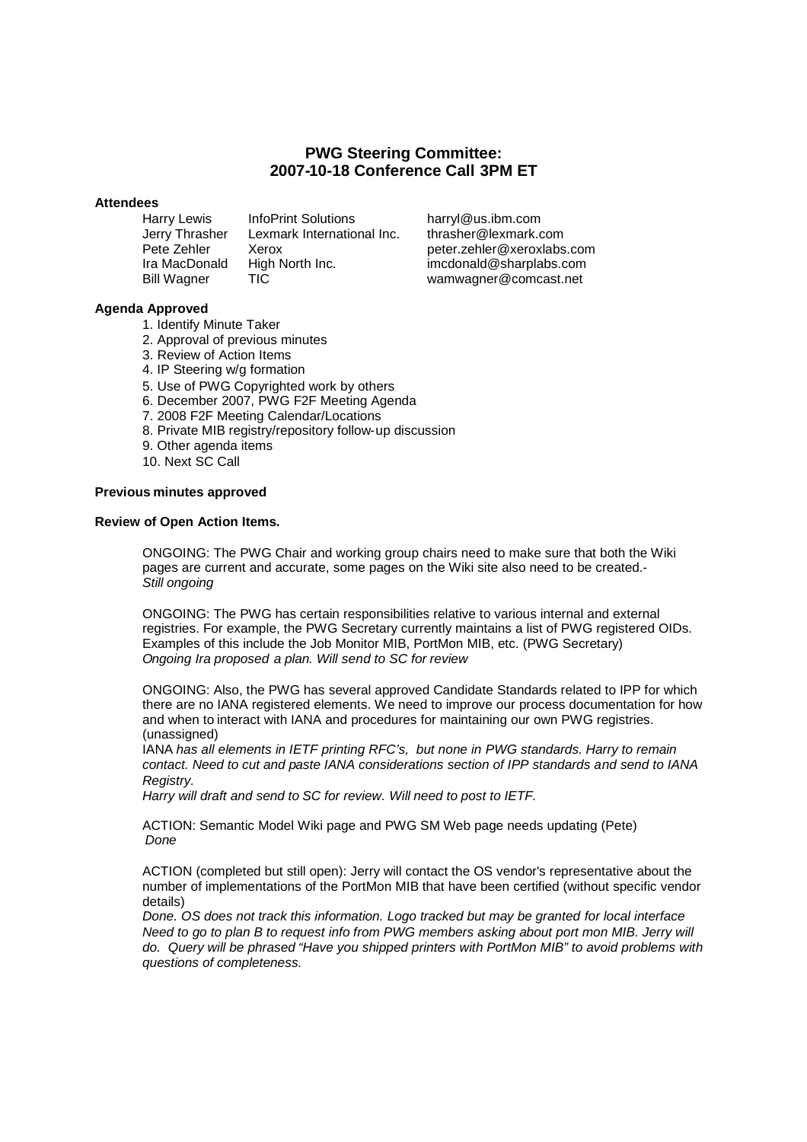# **PWG Steering Committee: 2007-10-18 Conference Call 3PM ET**

## **Attendees**

Harry Lewis InfoPrint Solutions harryl@us.ibm.com<br>Jerry Thrasher Lexmark International Inc. thrasher@lexmark.com Jerry Thrasher Lexmark International Inc.<br>Pete Zehler Yerox

peter.zehler@xeroxlabs.com Ira MacDonald High North Inc. i[mcdonald@sharplabs.com](mailto:peter.zehler@xeroxlabs.com) Bill Wagner TIC wamwagner@comcast.net

## **Agenda Approved**

- 1. Identify Minute Taker
- 2. Approval of previous minutes
- 3. Review of Action Items
- 4. IP Steering w/g formation
- 5. Use of PWG Copyrighted work by others
- 6. December 2007, PWG F2F Meeting Agenda
- 7. 2008 F2F Meeting Calendar/Locations
- 8. Private MIB registry/repository follow-up discussion
- 9. Other agenda items
- 10. Next SC Call

## **Previous minutes approved**

### **Review of Open Action Items.**

ONGOING: The PWG Chair and working group chairs need to make sure that both the Wiki pages are current and accurate, some pages on the Wiki site also need to be created.- *Still ongoing*

ONGOING: The PWG has certain responsibilities relative to various internal and external registries. For example, the PWG Secretary currently maintains a list of PWG registered OIDs. Examples of this include the Job Monitor MIB, PortMon MIB, etc. (PWG Secretary) *Ongoing Ira proposed a plan. Will send to SC for review*

ONGOING: Also, the PWG has several approved Candidate Standards related to IPP for which there are no IANA registered elements. We need to improve our process documentation for how and when to interact with IANA and procedures for maintaining our own PWG registries. (unassigned)

IANA *has all elements in IETF printing RFC's, but none in PWG standards. Harry to remain contact. Need to cut and paste IANA considerations section of IPP standards and send to IANA Registry.*

*Harry will draft and send to SC for review. Will need to post to IETF.*

ACTION: Semantic Model Wiki page and PWG SM Web page needs updating (Pete) *Done*

ACTION (completed but still open): Jerry will contact the OS vendor's representative about the number of implementations of the PortMon MIB that have been certified (without specific vendor details)

*Done. OS does not track this information. Logo tracked but may be granted for local interface Need to go to plan B to request info from PWG members asking about port mon MIB. Jerry will do. Query will be phrased "Have you shipped printers with PortMon MIB" to avoid problems with questions of completeness.*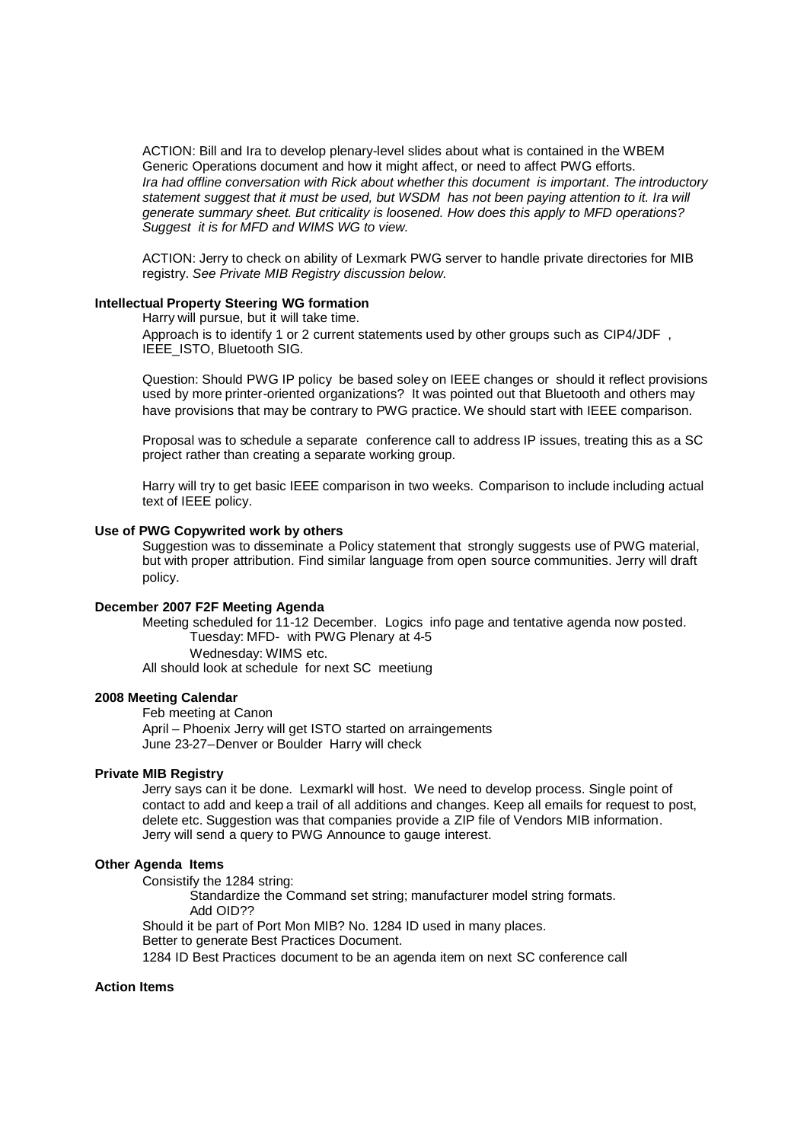ACTION: Bill and Ira to develop plenary-level slides about what is contained in the WBEM Generic Operations document and how it might affect, or need to affect PWG efforts. *Ira had offline conversation with Rick about whether this document is important. The introductory statement suggest that it must be used, but WSDM has not been paying attention to it. Ira will generate summary sheet. But criticality is loosened. How does this apply to MFD operations? Suggest it is for MFD and WIMS WG to view.*

ACTION: Jerry to check on ability of Lexmark PWG server to handle private directories for MIB registry. *See Private MIB Registry discussion below.*

## **Intellectual Property Steering WG formation**

Harry will pursue, but it will take time.

Approach is to identify 1 or 2 current statements used by other groups such as CIP4/JDF, IEEE\_ISTO, Bluetooth SIG.

Question: Should PWG IP policy be based soley on IEEE changes or should it reflect provisions used by more printer-oriented organizations? It was pointed out that Bluetooth and others may have provisions that may be contrary to PWG practice. We should start with IEEE comparison.

Proposal was to schedule a separate conference call to address IP issues, treating this as a SC project rather than creating a separate working group.

Harry will try to get basic IEEE comparison in two weeks. Comparison to include including actual text of IEEE policy.

#### **Use of PWG Copywrited work by others**

Suggestion was to disseminate a Policy statement that strongly suggests use of PWG material. but with proper attribution. Find similar language from open source communities. Jerry will draft policy.

#### **December 2007 F2F Meeting Agenda**

Meeting scheduled for 11-12 December. Logics info page and tentative agenda now posted. Tuesday: MFD- with PWG Plenary at 4-5 Wednesday: WIMS etc.

All should look at schedule for next SC meetiung

### **2008 Meeting Calendar**

Feb meeting at Canon April – Phoenix Jerry will get ISTO started on arraingements June 23-27–Denver or Boulder Harry will check

## **Private MIB Registry**

Jerry says can it be done. Lexmarkl will host. We need to develop process. Single point of contact to add and keep a trail of all additions and changes. Keep all emails for request to post, delete etc. Suggestion was that companies provide a ZIP file of Vendors MIB information. Jerry will send a query to PWG Announce to gauge interest.

## **Other Agenda Items**

Consistify the 1284 string:

Standardize the Command set string; manufacturer model string formats. Add OID??

Should it be part of Port Mon MIB? No. 1284 ID used in many places.

Better to generate Best Practices Document.

1284 ID Best Practices document to be an agenda item on next SC conference call

## **Action Items**